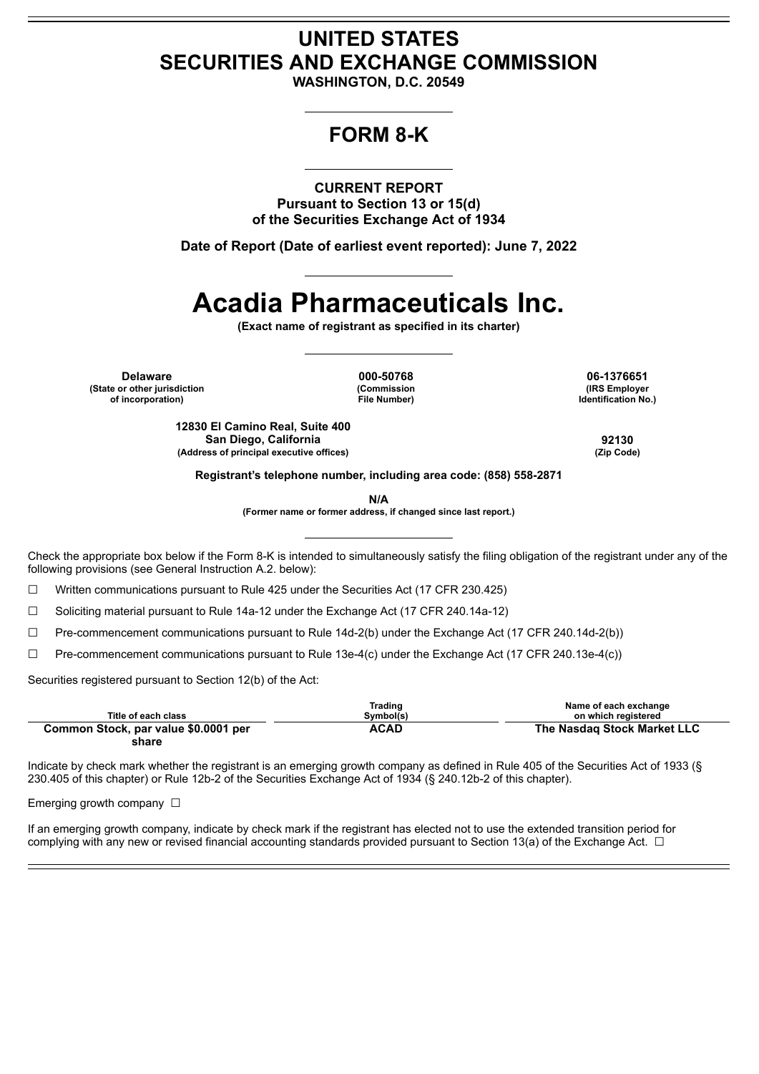## **UNITED STATES SECURITIES AND EXCHANGE COMMISSION**

**WASHINGTON, D.C. 20549**

## **FORM 8-K**

**CURRENT REPORT Pursuant to Section 13 or 15(d) of the Securities Exchange Act of 1934**

**Date of Report (Date of earliest event reported): June 7, 2022**

# **Acadia Pharmaceuticals Inc.**

**(Exact name of registrant as specified in its charter)**

**Delaware 000-50768 06-1376651 (State or other jurisdiction of incorporation)**

**(Commission File Number)**

**(IRS Employer Identification No.)**

**12830 El Camino Real, Suite 400 San Diego, California 92130 (Address of principal executive offices) (Zip Code)**

**Registrant's telephone number, including area code: (858) 558-2871**

**N/A**

**(Former name or former address, if changed since last report.)**

Check the appropriate box below if the Form 8-K is intended to simultaneously satisfy the filing obligation of the registrant under any of the following provisions (see General Instruction A.2. below):

☐ Written communications pursuant to Rule 425 under the Securities Act (17 CFR 230.425)

☐ Soliciting material pursuant to Rule 14a-12 under the Exchange Act (17 CFR 240.14a-12)

☐ Pre-commencement communications pursuant to Rule 14d-2(b) under the Exchange Act (17 CFR 240.14d-2(b))

☐ Pre-commencement communications pursuant to Rule 13e-4(c) under the Exchange Act (17 CFR 240.13e-4(c))

Securities registered pursuant to Section 12(b) of the Act:

| Title of each class                           | Trading<br>Symbol(s) | Name of each exchange<br>on which reaistered |
|-----------------------------------------------|----------------------|----------------------------------------------|
| Common Stock, par value \$0.0001 per<br>share | <b>ACAD</b>          | The Nasdag Stock Market LLC                  |

Indicate by check mark whether the registrant is an emerging growth company as defined in Rule 405 of the Securities Act of 1933 (§ 230.405 of this chapter) or Rule 12b-2 of the Securities Exchange Act of 1934 (§ 240.12b-2 of this chapter).

Emerging growth company  $\Box$ 

If an emerging growth company, indicate by check mark if the registrant has elected not to use the extended transition period for complying with any new or revised financial accounting standards provided pursuant to Section 13(a) of the Exchange Act.  $\Box$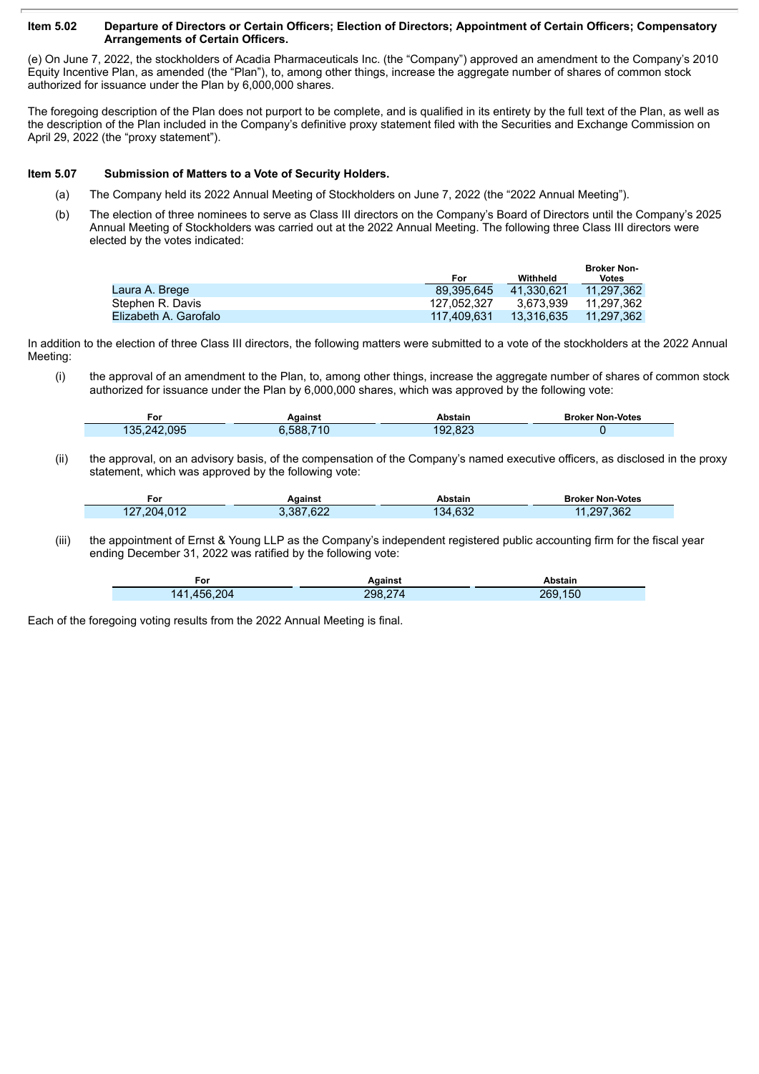#### Item 5.02 Departure of Directors or Certain Officers; Election of Directors; Appointment of Certain Officers; Compensatory **Arrangements of Certain Officers.**

(e) On June 7, 2022, the stockholders of Acadia Pharmaceuticals Inc. (the "Company") approved an amendment to the Company's 2010 Equity Incentive Plan, as amended (the "Plan"), to, among other things, increase the aggregate number of shares of common stock authorized for issuance under the Plan by 6,000,000 shares.

The foregoing description of the Plan does not purport to be complete, and is qualified in its entirety by the full text of the Plan, as well as the description of the Plan included in the Company's definitive proxy statement filed with the Securities and Exchange Commission on April 29, 2022 (the "proxy statement").

#### **Item 5.07 Submission of Matters to a Vote of Security Holders.**

- (a) The Company held its 2022 Annual Meeting of Stockholders on June 7, 2022 (the "2022 Annual Meeting").
- (b) The election of three nominees to serve as Class III directors on the Company's Board of Directors until the Company's 2025 Annual Meeting of Stockholders was carried out at the 2022 Annual Meeting. The following three Class III directors were elected by the votes indicated:

|                       |             |            | <b>Broker Non-</b> |
|-----------------------|-------------|------------|--------------------|
|                       | For         | Withheld   | Votes              |
| Laura A. Brege        | 89.395.645  | 41.330.621 | 11.297.362         |
| Stephen R. Davis      | 127.052.327 | 3.673.939  | 11.297.362         |
| Elizabeth A. Garofalo | 117.409.631 | 13.316.635 | 11.297.362         |

In addition to the election of three Class III directors, the following matters were submitted to a vote of the stockholders at the 2022 Annual Meeting:

(i) the approval of an amendment to the Plan, to, among other things, increase the aggregate number of shares of common stock authorized for issuance under the Plan by 6,000,000 shares, which was approved by the following vote:

| ، or<br>___      | Against        | Abstain | <b>Broker Non-Votes</b> |
|------------------|----------------|---------|-------------------------|
| .242.095<br>135. | .710<br>S.588. | 192.823 |                         |

(ii) the approval, on an advisory basis, of the compensation of the Company's named executive officers, as disclosed in the proxy statement, which was approved by the following vote:

| . or        | Against   | Abstain | <b>Broker Non-Votes</b> |
|-------------|-----------|---------|-------------------------|
| 127,204,012 | 3.387.622 | 134.632 | .297,362                |

(iii) the appointment of Ernst & Young LLP as the Company's independent registered public accounting firm for the fiscal year ending December 31, 2022 was ratified by the following vote:

| ۰or         | Aɑainst | Abstain |
|-------------|---------|---------|
| 141,456,204 | 298,274 | 269,150 |

Each of the foregoing voting results from the 2022 Annual Meeting is final.

Г

ī